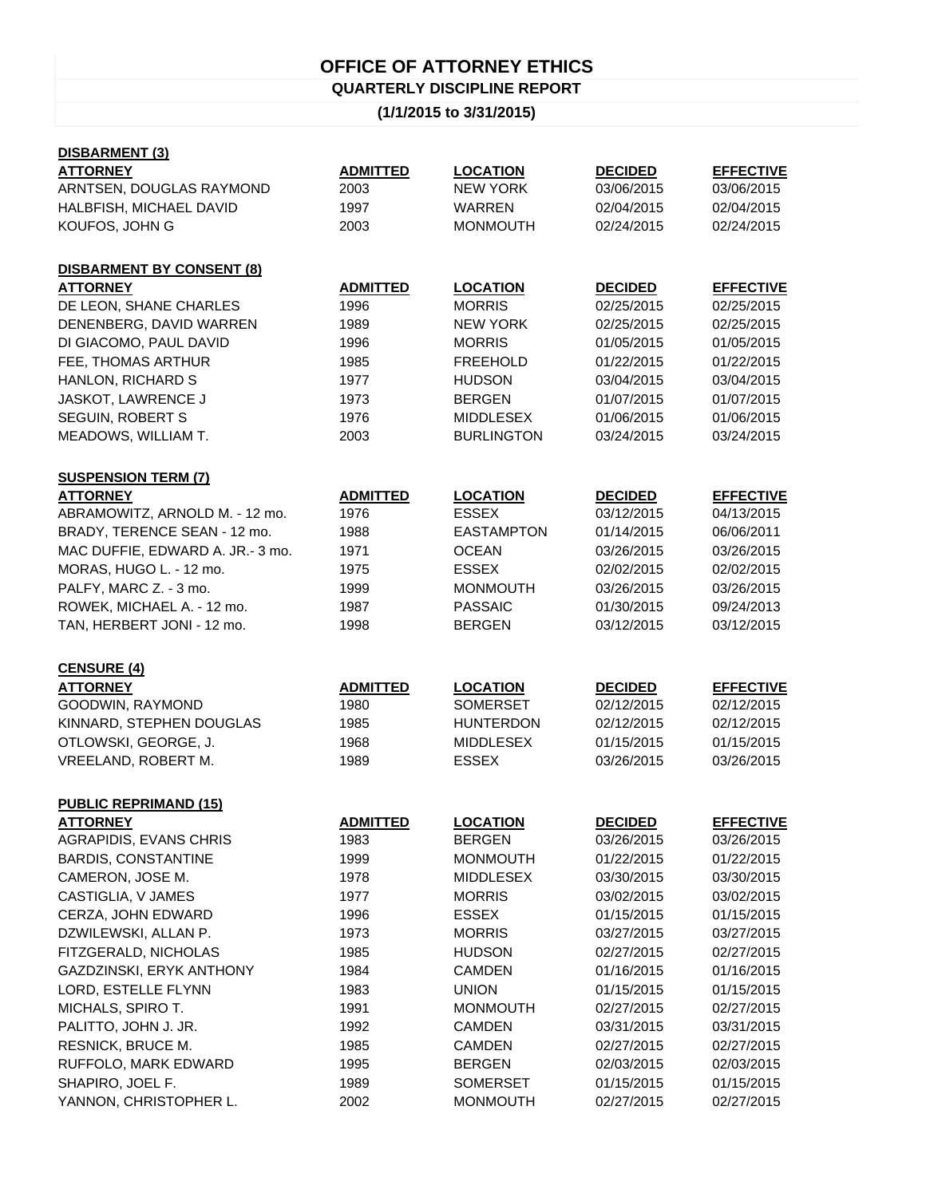## **OFFICE OF ATTORNEY ETHICS**

**QUARTERLY DISCIPLINE REPORT**

## **(1/1/2015 to 3/31/2015)**

| <b>EFFECTIVE</b> |
|------------------|
| 03/06/2015       |
| 02/04/2015       |
| 02/24/2015       |
|                  |
|                  |
| <b>EFFECTIVE</b> |
| 02/25/2015       |
| 02/25/2015       |
| 01/05/2015       |
| 01/22/2015       |
| 03/04/2015       |
| 01/07/2015       |
| 01/06/2015       |
| 03/24/2015       |
|                  |
|                  |
| <b>EFFECTIVE</b> |
| 04/13/2015       |
| 06/06/2011       |
| 03/26/2015       |
| 02/02/2015       |
| 03/26/2015       |
| 09/24/2013       |
|                  |
|                  |
| 03/12/2015       |
|                  |
|                  |
| <b>EFFECTIVE</b> |
| 02/12/2015       |
| 02/12/2015       |
| 01/15/2015       |
| 03/26/2015       |
|                  |
|                  |
| <b>EFFECTIVE</b> |
| 03/26/2015       |
| 01/22/2015       |
| 03/30/2015       |
| 03/02/2015       |
| 01/15/2015       |
| 03/27/2015       |
| 02/27/2015       |
| 01/16/2015       |
| 01/15/2015       |
| 02/27/2015       |
| 03/31/2015       |
| 02/27/2015       |
| 02/03/2015       |
| 01/15/2015       |
|                  |